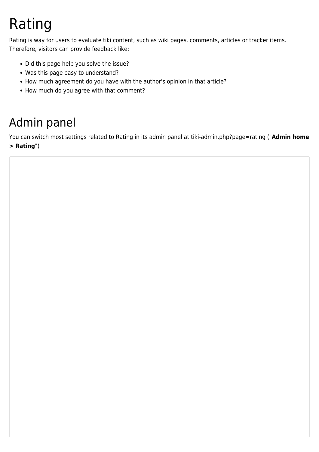# Rating

Rating is way for users to evaluate tiki content, such as wiki pages, comments, articles or tracker items. Therefore, visitors can provide feedback like:

- Did this page help you solve the issue?
- Was this page easy to understand?
- How much agreement do you have with the author's opinion in that article?
- How much do you agree with that comment?

# Admin panel

You can switch most settings related to Rating in its admin panel at tiki-admin.php?page=rating ("**Admin home > Rating**")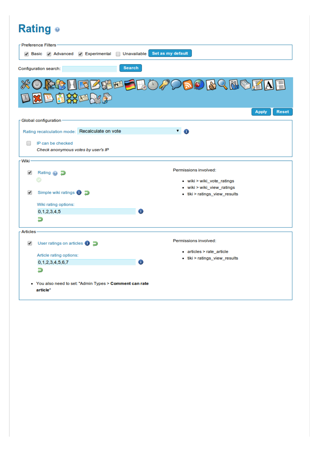### Rating o

|                      | Preference Filters<br>$\blacktriangledown$ Experimental<br>$\vee$ Basic $\vee$ Advanced<br>$\Box$ | Set as my default<br>Unavailable                            |
|----------------------|---------------------------------------------------------------------------------------------------|-------------------------------------------------------------|
|                      | <b>Search</b><br>Configuration search:                                                            |                                                             |
|                      | <b>XORGHEBSHOF</b><br>口出巴围铁工工厂                                                                    | DDD BREDEAE<br><b>Reset</b><br><b>Apply</b>                 |
|                      | Global configuration ·                                                                            |                                                             |
|                      | Rating recalculation mode: Recalculate on vote                                                    | $\sqrt{ }$                                                  |
|                      | IP can be checked<br>Check anonymous votes by user's IP                                           |                                                             |
| Wiki-                |                                                                                                   |                                                             |
| ✔                    | Rating @ 2                                                                                        | Permissions involved:<br>• wiki > wiki vote ratings         |
| ✔                    | Simple wiki ratings <b>O</b>                                                                      | . wiki > wiki_view_ratings<br>• tiki > ratings_view_results |
|                      | Wiki rating options:                                                                              |                                                             |
|                      | 0, 1, 2, 3, 4, 5                                                                                  | Φ                                                           |
|                      | Э                                                                                                 |                                                             |
| <b>Articles</b>      |                                                                                                   |                                                             |
| $\blacktriangledown$ | User ratings on articles $\bigcirc$ $\bigcirc$                                                    | Permissions involved:                                       |
|                      | Article rating options:                                                                           | • articles > rate_article                                   |
|                      | 0, 1, 2, 3, 4, 5, 6, 7                                                                            | tiki > ratings_view_results<br>Œ                            |
|                      | Э                                                                                                 |                                                             |
|                      | • You also need to set: "Admin Types > Comment can rate<br>article"                               |                                                             |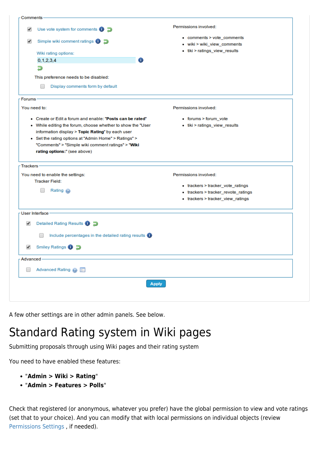| Comments     |                                                                |                                     |
|--------------|----------------------------------------------------------------|-------------------------------------|
| ✔            | Use vote system for comments $\bigcirc$                        | Permissions involved:               |
| ✔            | Simple wiki comment ratings $\bigcirc$                         | • comments > vote_comments          |
|              |                                                                | · wiki > wiki_view_comments         |
|              | Wiki rating options:                                           | • tiki > ratings_view_results       |
|              | 0, 1, 2, 3, 4                                                  | Œ.                                  |
|              | Ð                                                              |                                     |
|              | This preference needs to be disabled:                          |                                     |
|              |                                                                |                                     |
|              | Display comments form by default                               |                                     |
| -Forums -    |                                                                |                                     |
| You need to: |                                                                | Permissions involved:               |
|              | • Create or Edit a forum and enable: "Posts can be rated"      | • forums > forum_vote               |
|              | • While editing the forum, choose whether to show the "User    | • tiki > ratings_view_results       |
|              | information display > Topic Rating" by each user               |                                     |
|              | • Set the rating options at "Admin Home" > Ratings" >          |                                     |
|              | "Comments" > "Simple wiki comment ratings" > "Wiki             |                                     |
|              | rating options:" (see above)                                   |                                     |
| Trackers     |                                                                |                                     |
|              | You need to enable the settings:                               | Permissions involved:               |
|              | <b>Tracker Field:</b>                                          |                                     |
|              | Rating @                                                       | • trackers > tracker_vote_ratings   |
|              |                                                                | • trackers > tracker_revote_ratings |
|              |                                                                | • trackers > tracker_view_ratings   |
|              | - User Interface -                                             |                                     |
| ✔            | Detailed Rating Results <sup>1</sup>                           |                                     |
|              | Include percentages in the detailed rating results $\bigoplus$ |                                     |
| ✔            | Smiley Ratings <b>O</b> D                                      |                                     |
|              |                                                                |                                     |
| - Advanced   |                                                                |                                     |
|              | Advanced Rating @                                              |                                     |
|              |                                                                | <b>Apply</b>                        |
|              |                                                                |                                     |
|              |                                                                |                                     |

A few other settings are in other admin panels. See below.

# Standard Rating system in Wiki pages

Submitting proposals through using Wiki pages and their rating system

You need to have enabled these features:

- "**Admin > Wiki > Rating**"
- "**Admin > Features > Polls**"

Check that registered (or anonymous, whatever you prefer) have the global permission to view and vote ratings (set that to your choice). And you can modify that with local permissions on individual objects (review [Permissions Settings](https://doc.tiki.org/Permissions-settings) , if needed).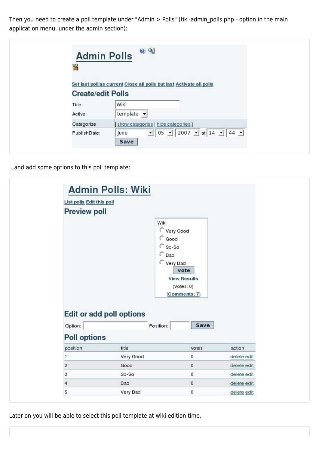Then you need to create a poll template under "Admin > Polls" (tiki-admin\_polls.php - option in the main application menu, under the admin section):

| <b>Admin Polls</b><br>W  |                                                                      |
|--------------------------|----------------------------------------------------------------------|
|                          | Set last poll as current Close all polls but last Activate all polls |
| <b>Create/edit Polls</b> |                                                                      |
| Title:                   | Wiki                                                                 |
| Active:                  | template $\blacktriangleright$                                       |
| Categorize               | [show categories   hide categories]                                  |
| PublishDate:             | $105$ $12007$ $141$ $14$ $14$ $14$<br>June                           |

...and add some options to this poll template:

| List polls Edit this poll |                                 |                                                                                                       |                            |
|---------------------------|---------------------------------|-------------------------------------------------------------------------------------------------------|----------------------------|
| <b>Preview poll</b>       |                                 |                                                                                                       |                            |
|                           |                                 | Wiki<br>C Very Good<br>$\int$ Good<br>€ So-So<br>$C$ Bad<br>C Very Bad<br>vote<br><b>View Results</b> |                            |
| Option:                   | <b>Edit or add poll options</b> | (Notes: 0)<br>(Comments: 7)<br>Save<br>Position:                                                      |                            |
| <b>Poll options</b>       |                                 |                                                                                                       |                            |
| position                  | title                           | votes                                                                                                 | action                     |
| 1                         | Very Good                       | 0                                                                                                     | delete edit                |
| $\overline{2}$            | Good                            | $\mathbf 0$                                                                                           | delete edit                |
| 3<br>$\overline{4}$       | So-So<br><b>Bad</b>             | $\mathfrak o$<br>0                                                                                    | delete edit<br>delete edit |

Later on you will be able to select this poll template at wiki edition time.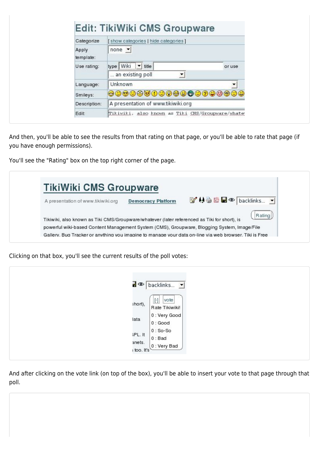| or use                                           |
|--------------------------------------------------|
|                                                  |
|                                                  |
|                                                  |
|                                                  |
|                                                  |
| 000000000000000000                               |
|                                                  |
| Tikiwiki, also known as Tiki CMS/Groupware/whate |

And then, you'll be able to see the results from that rating on that page, or you'll be able to rate that page (if you have enough permissions).

You'll see the "Rating" box on the top right corner of the page.

| A presentation of www.tikiwiki.org                                                           | <b>Democracy Platform</b> | <b>M49四日◎ backlinks ▼</b> |        |
|----------------------------------------------------------------------------------------------|---------------------------|---------------------------|--------|
|                                                                                              |                           |                           |        |
| Tikiwiki, also known as Tiki CMS/Groupware/whatever (later referenced as Tiki for short), is |                           |                           | Rating |

Clicking on that box, you'll see the current results of the poll votes:

| R                              | backlinks •                                                      |
|--------------------------------|------------------------------------------------------------------|
| short),<br>ata                 | vote<br>$\boxed{5}$<br>Rate Tikiwiki!<br>0 : Very Good<br>0:Good |
| iPL. It<br>anets.<br>too. It's | $0:$ So-So<br>$0:$ Bad<br>$[0: \text{Very Bad}]$                 |

And after clicking on the vote link (on top of the box), you'll be able to insert your vote to that page through that poll.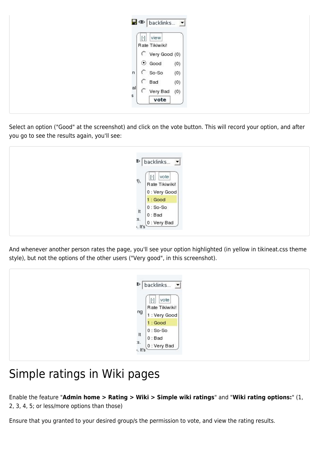| $\Box \Phi$ backlinks $\Box$ |                                                                                   |
|------------------------------|-----------------------------------------------------------------------------------|
| view<br>$[\cdot]$            |                                                                                   |
| Very Good (0)                |                                                                                   |
| (0)<br>n                     |                                                                                   |
| C<br>Bad<br>(0)              |                                                                                   |
| vote                         |                                                                                   |
|                              | Rate Tikiwiki!<br>$\odot$ Good<br>So-So<br>(0)<br>al<br>s<br>C<br>Very Bad<br>(0) |

Select an option ("Good" at the screenshot) and click on the vote button. This will record your option, and after you go to see the results again, you'll see:



And whenever another person rates the page, you'll see your option highlighted (in yellow in tikineat.css theme style), but not the options of the other users ("Very good", in this screenshot).

| $[\cdot]$<br>vote<br>Rate Tikiwiki!<br>ng                 |
|-----------------------------------------------------------|
| 1 : Very Good<br>1:Good<br>$0:$ So-So                     |
| $\mathsf{H}$<br>$0:$ Bad<br>S.<br>$0:$ Very Bad<br>. It's |

## Simple ratings in Wiki pages

Enable the feature "**Admin home > Rating > Wiki > Simple wiki ratings**" and "**Wiki rating options:**" (1, 2, 3, 4, 5; or less/more options than those)

Ensure that you granted to your desired group/s the permission to vote, and view the rating results.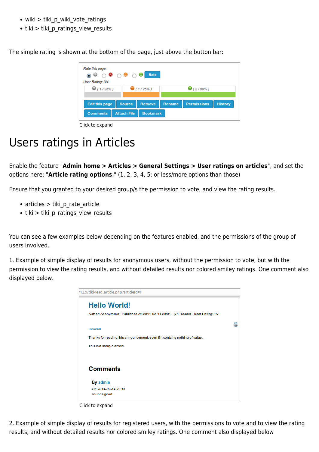- wiki > tiki p\_wiki\_vote\_ratings
- tiki > tiki p ratings view results

The simple rating is shown at the bottom of the page, just above the button bar:

| Rate this page:<br>◎ ◎ ○ ◎ ○ ● ○ ◎ Rate<br>User Rating: 3/4<br>(1/25%) |               | (1/25%)       |               | $\bullet$ (2/50%)  |                |
|------------------------------------------------------------------------|---------------|---------------|---------------|--------------------|----------------|
| <b>Edit this page</b>                                                  | <b>Source</b> | <b>Remove</b> | <b>Rename</b> | <b>Permissions</b> | <b>History</b> |

Click to expand

#### Users ratings in Articles

Enable the feature "**Admin home > Articles > General Settings > User ratings on articles**", and set the options here: "**Article rating options**:" (1, 2, 3, 4, 5; or less/more options than those)

Ensure that you granted to your desired group/s the permission to vote, and view the rating results.

- articles > tiki p rate article
- tiki > tiki p ratings view results

You can see a few examples below depending on the features enabled, and the permissions of the group of users involved.

1. Example of simple display of results for anonymous users, without the permission to vote, but with the permission to view the rating results, and without detailed results nor colored smiley ratings. One comment also displayed below.



Click to expand

2. Example of simple display of results for registered users, with the permissions to vote and to view the rating results, and without detailed results nor colored smiley ratings. One comment also displayed below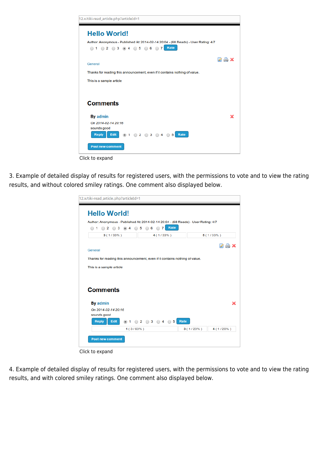

Click to expand

3. Example of detailed display of results for registered users, with the permissions to vote and to view the rating results, and without colored smiley ratings. One comment also displayed below.

| <b>Hello World!</b>                                                                                                                                                       |                                         |             |           |  |  |  |  |
|---------------------------------------------------------------------------------------------------------------------------------------------------------------------------|-----------------------------------------|-------------|-----------|--|--|--|--|
|                                                                                                                                                                           |                                         |             |           |  |  |  |  |
| Author: Anonymous - Published At: 2014-02-14 20:04 - (68 Reads) - User Rating: 4/7<br>Rate<br>◯ 5<br>$2 \bigcirc 3$<br>6<br>7<br>$\mathbf{1}$<br>$\circledcirc$<br>4<br>∩ |                                         |             |           |  |  |  |  |
| $4(1/33\%)$<br>$5(1/33\%)$<br>3(1/33%)                                                                                                                                    |                                         |             |           |  |  |  |  |
|                                                                                                                                                                           |                                         |             |           |  |  |  |  |
| General                                                                                                                                                                   |                                         |             | a b       |  |  |  |  |
| Thanks for reading this announcement, even if it contains nothing of value.                                                                                               |                                         |             |           |  |  |  |  |
| This is a sample article                                                                                                                                                  |                                         |             |           |  |  |  |  |
| <b>Comments</b>                                                                                                                                                           |                                         |             |           |  |  |  |  |
| By admin                                                                                                                                                                  |                                         |             | x         |  |  |  |  |
| On 2014-02-14 20:16                                                                                                                                                       |                                         |             |           |  |  |  |  |
| sounds good                                                                                                                                                               |                                         |             |           |  |  |  |  |
|                                                                                                                                                                           | $\circ$ 2 $\circ$ 3 $\circ$ 4 $\circ$ 5 | Rate        |           |  |  |  |  |
| <b>Reply</b><br><b>Edit</b><br>$\circledcirc$<br>1                                                                                                                        |                                         |             |           |  |  |  |  |
| $1(3/60\%)$                                                                                                                                                               |                                         | $3(1/20\%)$ | 4 (1/20%) |  |  |  |  |

Click to expand

4. Example of detailed display of results for registered users, with the permissions to vote and to view the rating results, and with colored smiley ratings. One comment also displayed below.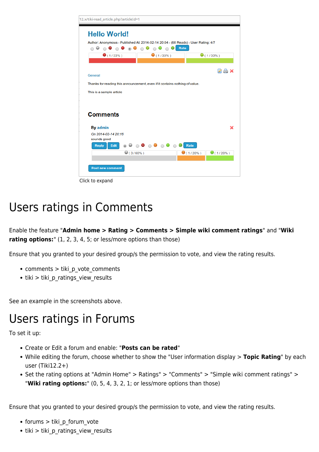

Click to expand

#### Users ratings in Comments

Enable the feature "**Admin home > Rating > Comments > Simple wiki comment ratings**" and "**Wiki** rating options:" (1, 2, 3, 4, 5; or less/more options than those)

Ensure that you granted to your desired group/s the permission to vote, and view the rating results.

- comments > tiki p vote comments
- tiki > tiki\_p\_ratings\_view\_results

See an example in the screenshots above.

#### Users ratings in Forums

To set it up:

- Create or Edit a forum and enable: "**Posts can be rated**"
- While editing the forum, choose whether to show the "User information display > **Topic Rating**" by each user (Tiki12.2+)
- Set the rating options at "Admin Home" > Ratings" > "Comments" > "Simple wiki comment ratings" > "**Wiki rating options:**" (0, 5, 4, 3, 2, 1; or less/more options than those)

Ensure that you granted to your desired group/s the permission to vote, and view the rating results.

- forums > tiki p forum vote
- tiki > tiki p\_ratings\_view\_results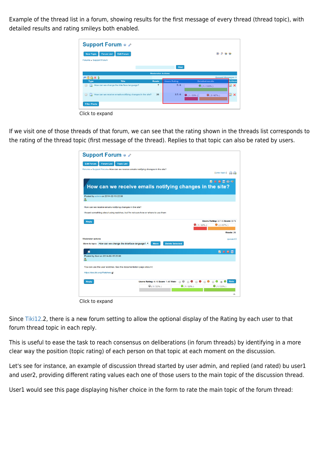Example of the thread list in a forum, showing results for the first message of every thread (thread topic), with detailed results and rating smileys both enabled.

| <b>Support Forum o 2</b>                                                 |                          |                     |                         |                            |
|--------------------------------------------------------------------------|--------------------------|---------------------|-------------------------|----------------------------|
| <b>Forum List</b><br><b>Edit Forum</b><br><b>New Topic</b>               |                          |                     | ◉                       | 288                        |
| Forums » Support Forum                                                   |                          |                     |                         |                            |
|                                                                          |                          | Find                |                         |                            |
|                                                                          | <b>Moderator Actions</b> |                     |                         |                            |
| <b>A简高×1</b>                                                             |                          |                     |                         | Queued Messages: 0         |
| <b>Title</b><br><b>Type</b>                                              | <b>Reads</b>             | <b>Users Rating</b> | <b>Detailed results</b> | <b>Actions</b>             |
| How can we change the interface language?<br>A<br>□                      | $\overline{7}$           | 5/6                 | $\Theta$ (1/100%)       | $\boldsymbol{\times}$<br>Ø |
| How can we receive emails notifying changes in the site?<br>$\Box$<br>u. | 26                       | 3.7/6               | (1/33%)<br>9(2/67%)     | Ø X                        |
| <b>Filter Posts</b>                                                      |                          |                     |                         |                            |

Click to expand

If we visit one of those threads of that forum, we can see that the rating shown in the threads list corresponds to the rating of the thread topic (first message of the thread). Replies to that topic can also be rated by users.

|                                                                    | <b>Support Forum e 2</b>                                                         |                                                          |
|--------------------------------------------------------------------|----------------------------------------------------------------------------------|----------------------------------------------------------|
| <b>Forum List</b><br><b>Topic List</b><br><b>Edit Forum</b>        |                                                                                  |                                                          |
|                                                                    | Forums » Support Forum» How can we receive emails notifying changes in the site? |                                                          |
|                                                                    |                                                                                  | [prev topic]                                             |
|                                                                    |                                                                                  | <b>ZXOBOS</b>                                            |
|                                                                    |                                                                                  | How can we receive emails notifying changes in the site? |
|                                                                    |                                                                                  |                                                          |
| Posted by admin on 2014-02-15 22:56<br>a.                          |                                                                                  |                                                          |
|                                                                    |                                                                                  |                                                          |
| How can we receive emails notifying changes in the site?           |                                                                                  |                                                          |
|                                                                    | I heard something about using watches, but I'm not sure how or where to use them |                                                          |
|                                                                    |                                                                                  |                                                          |
| <b>Reply</b>                                                       |                                                                                  | Users Rating: 3.7 / 6 Score: 0.73<br>(1/33%)<br>9(2/67%) |
|                                                                    |                                                                                  |                                                          |
|                                                                    |                                                                                  | Reads: 26                                                |
| <b>Moderator actions</b>                                           |                                                                                  | queued:0                                                 |
| Move to topic: How can we change the interface language? ▼         | <b>Delete Selected</b><br>Move                                                   |                                                          |
|                                                                    |                                                                                  |                                                          |
|                                                                    |                                                                                  | ZXOE                                                     |
| Posted by Xavi on 2014-02-15 23:06                                 |                                                                                  |                                                          |
|                                                                    |                                                                                  |                                                          |
|                                                                    |                                                                                  |                                                          |
| You can use the user watches. See the documentation page about it: |                                                                                  |                                                          |
|                                                                    |                                                                                  |                                                          |
| https://doc.tiki.org/Watches.g?                                    |                                                                                  |                                                          |
| <b>Reply</b>                                                       | Users Rating: 4/6 Score: 1.48 Vote: 0 0 0                                        | Rate<br>G<br>$\left( \widehat{\bullet }\right)$          |
|                                                                    | $\odot$ (1/33%)                                                                  | (1/33%)<br>$\Theta$ (1/33%)                              |

Click to expand

Since [Tiki12.](https://doc.tiki.org/Tiki12)2, there is a new forum setting to allow the optional display of the Rating by each user to that forum thread topic in each reply.

This is useful to ease the task to reach consensus on deliberations (in forum threads) by identifying in a more clear way the position (topic rating) of each person on that topic at each moment on the discussion.

Let's see for instance, an example of discussion thread started by user admin, and replied (and rated) bu user1 and user2, providing different rating values each one of those users to the main topic of the discussion thread.

User1 would see this page displaying his/her choice in the form to rate the main topic of the forum thread: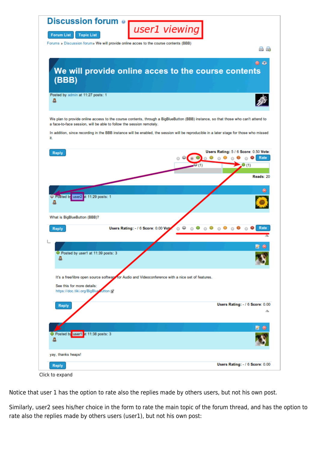| Discussion forum ®<br>user1 viewing                                                                                                                                                                        |                                                                                  |
|------------------------------------------------------------------------------------------------------------------------------------------------------------------------------------------------------------|----------------------------------------------------------------------------------|
| <b>Forum List</b><br><b>Topic List</b><br>Forums » Discussion forum» We will provide online acces to the course contents (BBB)                                                                             | a a                                                                              |
| We will provide online acces to the course contents<br>(BBB)                                                                                                                                               | $\bullet$ $\bullet$                                                              |
| Posted by admin at 11:27 posts: 1<br>д                                                                                                                                                                     |                                                                                  |
| We plan to provide online access to the course contents, through a BigBlueButton (BBB) instance, so that those who can't attend to<br>a face-to-face session, will be able to follow the session remotely. |                                                                                  |
| In addition, since recording in the BBB instance will be enabled, the session will be reproducible in a later stage for those who missed<br>ìt.                                                            |                                                                                  |
| <b>Reply</b><br>(1)                                                                                                                                                                                        | Users Rating: 5 / 6 Score: 0.50 Vote:<br>Rate<br>0.<br>$\Theta$ (1)<br>Reads: 20 |
| Posted by user2 at 11:29 posts: 1                                                                                                                                                                          |                                                                                  |
| What is BigBlueButton (BBB)?<br>⊙ ⊛<br>Users Rating: - / 6 Score: 0.00 Vot<br>0<br>Reply                                                                                                                   | Rate<br>⊙ ⊜                                                                      |
| ම Posted by user1 at 11:39 posts: 3<br>a                                                                                                                                                                   | a                                                                                |
| It's a free/libre open source software for Audio and Videoconference with a nice set of features.<br>See this for more details:<br>https://doc.tiki.org/BigBlug autton [6]                                 |                                                                                  |
| <b>Reply</b>                                                                                                                                                                                               | Users Rating: - / 6 Score: 0.00<br>◬                                             |
| Posted by user1 at 11:38 posts: 3                                                                                                                                                                          |                                                                                  |
| yay, thanks heaps!                                                                                                                                                                                         |                                                                                  |
| <b>Reply</b><br>Click to expand                                                                                                                                                                            | Users Rating: - / 6 Score: 0.00                                                  |

Notice that user 1 has the option to rate also the replies made by others users, but not his own post.

Similarly, user2 sees his/her choice in the form to rate the main topic of the forum thread, and has the option to rate also the replies made by others users (user1), but not his own post: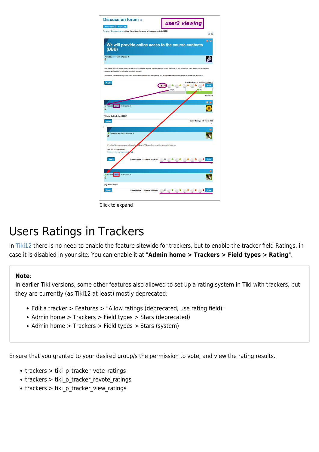

Click to expand

### Users Ratings in Trackers

In [Tiki12](https://doc.tiki.org/Tiki12) there is no need to enable the feature sitewide for trackers, but to enable the tracker field Ratings, in case it is disabled in your site. You can enable it at "**Admin home > Trackers > Field types > Rating**".

#### **Note**:

In earlier Tiki versions, some other features also allowed to set up a rating system in Tiki with trackers, but they are currently (as Tiki12 at least) mostly deprecated:

- Edit a tracker > Features > "Allow ratings (deprecated, use rating field)"
- Admin home > Trackers > Field types > Stars (deprecated)
- Admin home > Trackers > Field types > Stars (system)

Ensure that you granted to your desired group/s the permission to vote, and view the rating results.

- trackers > tiki\_p\_tracker\_vote\_ratings
- trackers > tiki p tracker revote ratings
- trackers > tiki\_p\_tracker\_view\_ratings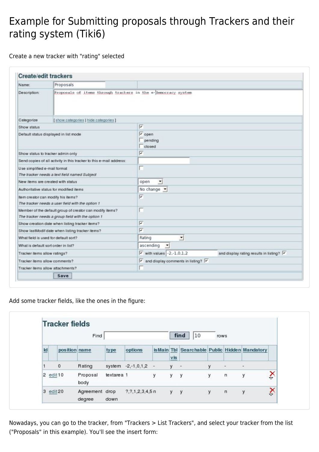#### Example for Submitting proposals through Trackers and their rating system (Tiki6)

Create a new tracker with "rating" selected

| Name:                         | Proposals                                                                                                     |                                                                                        |                                               |  |  |  |
|-------------------------------|---------------------------------------------------------------------------------------------------------------|----------------------------------------------------------------------------------------|-----------------------------------------------|--|--|--|
| Description:                  | Proposals of items through trackers in the e-Hemocracy system                                                 |                                                                                        |                                               |  |  |  |
| Categorize                    | [show categories   hide categories ]                                                                          |                                                                                        |                                               |  |  |  |
| Show status                   |                                                                                                               | $\overline{\mathbf{v}}$                                                                |                                               |  |  |  |
|                               | Default status displayed in list mode                                                                         | $\sqrt{2}$ open<br>pending<br>closed                                                   |                                               |  |  |  |
|                               | Show status to tracker admin only                                                                             | $\overline{\mathbf{v}}$                                                                |                                               |  |  |  |
|                               | Send copies of all activity in this tracker to this e-mail address:                                           |                                                                                        |                                               |  |  |  |
| Use simplified e-mail format  | The tracker needs a text field named Subject                                                                  |                                                                                        |                                               |  |  |  |
|                               | New items are created with status                                                                             | open<br>$\blacktriangledown$                                                           |                                               |  |  |  |
|                               | Authoritative status for modified items                                                                       | No change $\blacktriangledown$                                                         |                                               |  |  |  |
|                               | Item creator can modify his items?<br>The tracker needs a user field with the option 1                        | $\overline{\mathbf{v}}$                                                                |                                               |  |  |  |
|                               | Member of the default group of creator can modify items?<br>The tracker needs a group field with the option 1 |                                                                                        |                                               |  |  |  |
|                               | Show creation date when listing tracker items?                                                                | $\overline{\triangledown}$                                                             |                                               |  |  |  |
|                               | Show lastModif date when listing tracker items?                                                               | $\overline{\mathbf{v}}$                                                                |                                               |  |  |  |
|                               | What field is used for default sort?                                                                          | 븨<br>Rating                                                                            |                                               |  |  |  |
|                               | What is default sort order in list?                                                                           | $ascending \tightharpoonup$                                                            |                                               |  |  |  |
| Tracker items allow ratings?  |                                                                                                               | $\triangleright$ with values $-2,-1,0,1,2$                                             | and display rating results in listing? $\vee$ |  |  |  |
| Tracker items allow comments? |                                                                                                               | $\overline{\triangledown}$ and display comments in listing? $\overline{\triangledown}$ |                                               |  |  |  |
|                               | Tracker items allow attachments?                                                                              |                                                                                        |                                               |  |  |  |

Add some tracker fields, like the ones in the figure:

|                          |               | Find             |            |                         |   |        | find<br>10                                     | rows |                          |   |                           |
|--------------------------|---------------|------------------|------------|-------------------------|---|--------|------------------------------------------------|------|--------------------------|---|---------------------------|
| $\overline{\mathsf{Id}}$ | position name |                  | type       | options                 |   | $v$ is | is Main Tbl Searchable Public Hidden Mandatory |      |                          |   |                           |
|                          | $\mathbf 0$   | Rating           |            | system -2,-1,0,1,2 -    |   | y.     | $\bar{\phantom{a}}$                            | y    | $\overline{\phantom{a}}$ | ÷ |                           |
| $\overline{2}$           | edit10        | Proposal<br>body | textarea 1 |                         | у | y      | y                                              | у    | n                        | у | $\boldsymbol{\mathsf{x}}$ |
|                          | $3$ edit $20$ | Agreement drop   |            | $7, 7, 1, 2, 3, 4, 5$ n |   | y y    |                                                | y    | $\mathsf{n}$             | y | $\hat{\mathsf{x}}$        |

Nowadays, you can go to the tracker, from "Trackers > List Trackers", and select your tracker from the list ("Proposals" in this example). You'll see the insert form: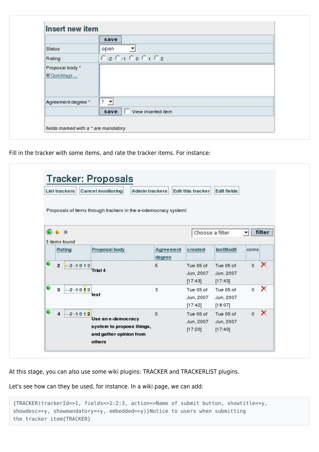|                               | save                             |  |
|-------------------------------|----------------------------------|--|
| Status                        | $\overline{\phantom{a}}$<br>open |  |
| Rating                        | $C_2$ $C_1$ $C_0$ $C_1$ $C_2$    |  |
| Proposal body*<br>E Quicktags |                                  |  |
| Agreement degree *            | $\vert \cdot \vert$<br>?         |  |
|                               | View inserted item<br>save       |  |

Fill in the tracker with some items, and rate the tracker items. For instance:

|   | <b>List trackers</b>      | <b>Cancel monitoring</b>                                                             | <b>Admin trackers</b> | <b>Edit this tracker</b>            | <b>Edit fields</b>                |                          |          |
|---|---------------------------|--------------------------------------------------------------------------------------|-----------------------|-------------------------------------|-----------------------------------|--------------------------|----------|
|   | $\bullet \bullet \bullet$ | Proposals of items through trackers in the e-cdemocracy systeml                      |                       |                                     |                                   |                          | filter   |
|   | 3 items found             |                                                                                      |                       |                                     | Choose a filter                   | $\overline{\phantom{a}}$ |          |
|   | Rating                    | Proposal body                                                                        | Agreement<br>degree   | created                             | lastModif                         | coms                     |          |
| ۰ | $2 - 2 - 1012$            | Trial 4                                                                              | 5                     | Tue 05 of<br>Jun, 2007<br>[17:43]   | Tue 05 of<br>Jun, 2007<br>[17:43] | $\mathbf{0}$             | ×        |
| ۰ | $3 - 2 - 1012$            | test                                                                                 | 3                     | Tue 05 of<br>Jun, 2007<br>[17:42]   | Tue 05 of<br>Jun, 2007<br>[18:07] | $\mathbf{0}$             | ×        |
| ۰ | $4 - 2 - 1012$            | Use an e-democracy<br>system to propose things,<br>and gather opinion from<br>others | 5                     | Tue 05 of<br>Jun, 2007<br>$[17:20]$ | Tue 05 of<br>Jun, 2007<br>[17:40] | $\circ$                  | $\times$ |

At this stage, you can also use some wiki plugins: TRACKER and TRACKERLIST plugins.

Let's see how can they be used, for instance. In a wiki page, we can add:

```
{TRACKER(trackerId=>1, fields=>1:2:3, action=>Name of submit button, showtitle=>y,
showdesc=>y, showmandatory=>y, embedded=>y)}Notice to users when submitting
the tracker item{TRACKER}
```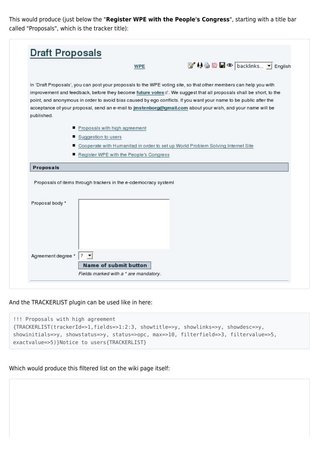This would produce (just below the "**Register WPE with the People's Congress**", starting with a title bar called "Proposals", which is the tracker title):

|                    | <b>WPE</b>                                                      | ■ 49 G B © backlinks ▼ English                                                                                     |
|--------------------|-----------------------------------------------------------------|--------------------------------------------------------------------------------------------------------------------|
|                    |                                                                 |                                                                                                                    |
|                    |                                                                 | In 'Draft Proposals', you can post your proposals to the WPE voting site, so that other members can help you with  |
|                    |                                                                 | improvement and feedback, before they become future votes a'. We suggest that all proposals shall be short, to the |
|                    |                                                                 | point, and anonymous in order to avoid bias caused by ego conflicts. If you want your name to be public after the  |
|                    |                                                                 | acceptance of your proposal, send an e-mail to jmstenborg@gmail.com about your wish, and your name will be         |
| published.         |                                                                 |                                                                                                                    |
|                    | Proposals with high agreement                                   |                                                                                                                    |
|                    | Suggestion to users                                             |                                                                                                                    |
|                    |                                                                 | Cooperate with Humanitad in order to set up World Problem Solving Internet Site                                    |
|                    | Register WPE with the People's Congress                         |                                                                                                                    |
|                    |                                                                 |                                                                                                                    |
|                    |                                                                 |                                                                                                                    |
| Proposals          |                                                                 |                                                                                                                    |
|                    |                                                                 |                                                                                                                    |
|                    | Proposals of items through trackers in the e-cdemocracy system! |                                                                                                                    |
|                    |                                                                 |                                                                                                                    |
|                    |                                                                 |                                                                                                                    |
| Proposal body *    |                                                                 |                                                                                                                    |
|                    |                                                                 |                                                                                                                    |
|                    |                                                                 |                                                                                                                    |
|                    |                                                                 |                                                                                                                    |
|                    |                                                                 |                                                                                                                    |
|                    |                                                                 |                                                                                                                    |
|                    |                                                                 |                                                                                                                    |
| Agreement degree * | <b>Name of submit button</b>                                    |                                                                                                                    |

And the TRACKERLIST plugin can be used like in here:

| !!! Proposals with high agreement                                                     |  |
|---------------------------------------------------------------------------------------|--|
| {TRACKERLIST(trackerId=>1,fields=>1:2:3, showtitle=>y, showlinks=>y, showdesc=>y,     |  |
| showinitials=>y, showstatus=>y, status=>opc, max=>10, filterfield=>3, filtervalue=>5, |  |
| exactvalue=>5)}Notice to users{TRACKERLIST}                                           |  |

Which would produce this filtered list on the wiki page itself: